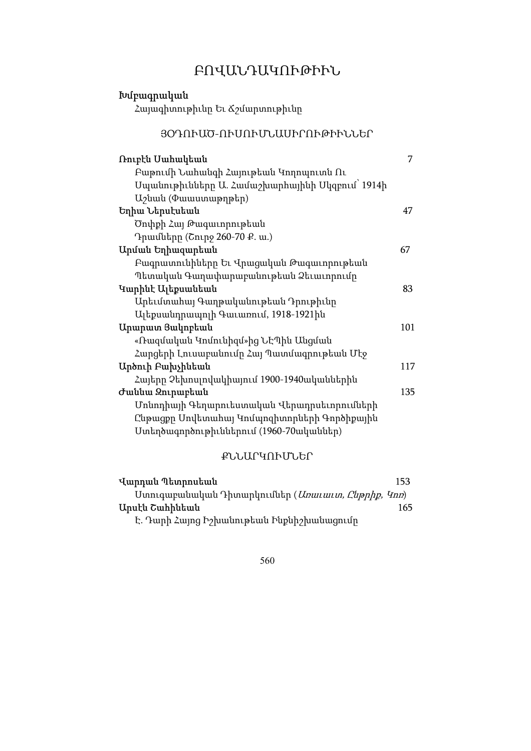# ԲՈՎԱՆԴԱԿՈՒԹԻՒՆ

| Խմբագրական                                      |     |
|-------------------------------------------------|-----|
| Հայագիտութիւնը Եւ Ճշմարտութիւնը                 |     |
| ՅՕԴՈՒԱԾ-ՈՒՍՈՒՄՆԱՍԻՐՈՒԹԻՒՆՆԵՐ                    |     |
| Ռուբէն Սահակեան                                 | 7   |
| Բաթումի Նահանգի Հայութեան Կողոպուտն Ու          |     |
| Մպանութիւնները Ա. Համաշխարհայինի Մկզբում` 1914ի |     |
| U <sub>2</sub> uuuu (Φաաստաթղթեր)               |     |
| Եղիա Ներսէսեան                                  | 47  |
| Ծոփքի Հայ Թագաւորութեան                         |     |
| Դրամները (Շուրջ 260-70 Ք. ա.)                   |     |
| Արման Եղիազարեան                                | 67  |
| Բագրատունիները Եւ Վրացական Թագաւորութեան        |     |
| Պետական Գաղափարաբանութեան Ձեւաւորումը           |     |
| Կարինէ Ալեքսանեան                               | 83  |
| Արեւմտահայ Գաղթականութեան Դրութիւնը             |     |
| Ալեքսանդրապոլի Գաւառում, 1918-1921ին            |     |
| Արարատ Յակոբեան                                 | 101 |
| «Ռազմական Կոմունիզմ»ից ՆԷՊին Անցման             |     |
| Հարցերի Լուսաբանումը Հայ Պատմագրութեան Մէջ      |     |
| Արծուի Բախչինեան                                | 117 |
| Հայերը Չեխոսլովակիայում 1900-1940ականներին      |     |
| Ժաննա Զուրաբեան                                 | 135 |
| Մոնոդիայի Գեղարուեստական Վերադրսեւորումների     |     |
| Ընթացքը Սովետահայ Կոմպոզիտորների Գործիքային     |     |
| Ստեղծագործութիւններում (1960-70ականներ)         |     |

# ՔՆՆԱՐԿՈՒՄՆԵՐ

| Վարդան Պետրոսեան                                           | 153 |
|------------------------------------------------------------|-----|
| Uտուգաբանական Դիտարկումներ ( <i>Unաւաւտ, Ընթրիք, Կոո</i> ) |     |
| Արսէն Շահինեան                                             | 165 |
| Է. Դարի Հայոց Իշխանութեան Ինքնիշխանացումը                  |     |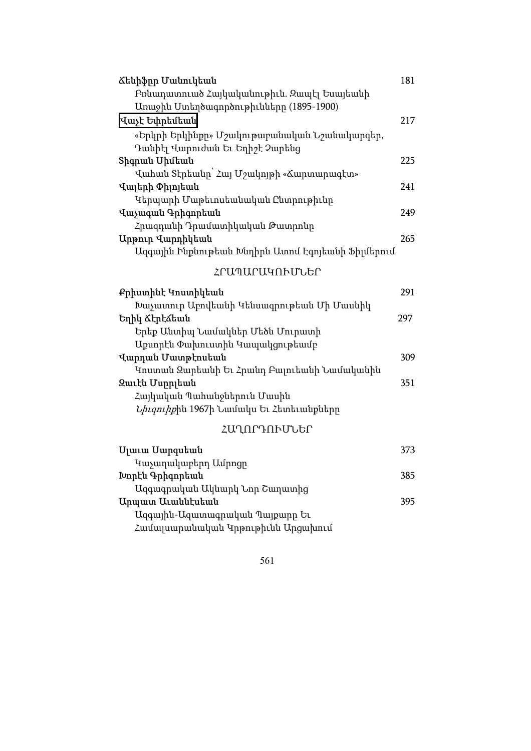| Ճենիֆրը Մանուկեան                                 | 181 |
|---------------------------------------------------|-----|
| Բոնադատուած Հայկականութիւն. Զապէլ Եսայեանի        |     |
| Առաջին Ստեղծագործութիւնները (1895-1900)           |     |
| Վաչէ Եփրեմեան                                     | 217 |
| «Երկրի Երկինքը» Մշակութաբանական Նշանակարգեր,      |     |
| Դանիէլ Վարուժան Եւ Եղիշէ Չարենց                   |     |
| Shqpան Uիմեան                                     | 225 |
| Վահան Տէրեանը` Հայ Մշակոյթի «Ճարտարագէտ»          |     |
| Վալերի Փիլոյեան                                   | 241 |
| Կերպարի Մաթեւոսեանական Ընտրութիւնը                |     |
| Վաչագան Գրիգորեան                                 | 249 |
| Հրազդանի Դրամատիկական Թատրոնը                     |     |
| Արթուր Վարդիկեան                                  | 265 |
| Ազգային Ինքնութեան Խնդիրն Ատոմ Էգոյեանի Ֆիլմերում |     |
| ՀՐԱՊԱՐԱԿՈՒՄՆԵՐ                                    |     |
| Քրիստինէ Կոստիկեան                                | 291 |
| Խաչատուր Աբովեանի Կենսագրութեան Մի Մասնիկ         |     |
| Եղիկ Ճէրէձեան                                     | 297 |
| Երեք Անտիպ Նամակներ Մեծն Մուրատի                  |     |
| Աքսորէն Փախուստին Կապակցութեամբ                   |     |
| Վարդան Մատթէոսեան                                 | 309 |
| Կոստան Զարեանի Եւ Հրանդ Բալուեանի Նամականին       |     |
| Զաւէն Մսրրլեան                                    | 351 |
| Հայկական Պահանջներուն Մասին                       |     |
| <i>Նիւզուիք</i> ին 1967ի Նամակս Եւ Հետեւանքները   |     |
| ՀԱՂՈՐԴՈՒՄՆԵՐ                                      |     |
| Մլաւա Մարգսեան                                    | 373 |
| Կաչաղակաբերդ Ամրոցը                               |     |
| Խորէն Գրիգորեան                                   | 385 |
| Ազգագրական Ակնարկ Նոր Շաղատից                     |     |
| Արպատ Աւաննէսեան                                  | 395 |
| Ազգային-Ազատագրական Պայքարը Եւ                    |     |
| Համալսարանական Կրթութիւնն Արցախում                |     |
|                                                   |     |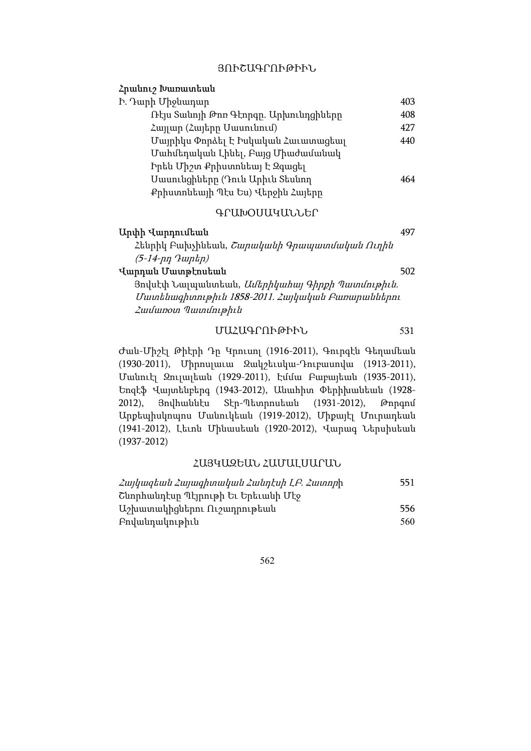#### ՅՈՒՇԱԳՐՈՒԹԻՒՆ

### Հրանուշ Խառատեան

| Ի. Դարի Միջնադար                      | 403 |
|---------------------------------------|-----|
| Ռէյս Տանոյի Թոռ Գէորգը. Արխունդցիները | 408 |
| Հայյար (Հայերը Մասունում)             | 427 |
| Մայրիկս Փորձել Է Իսկական Հաւատացեալ   | 440 |
| Մահմեդական Լինել, Բայց Միաժամանակ     |     |
| Իրեն Միշտ Քրիստոնեալ է Զգացել         |     |
| Սասունցիները (Դուն Արիւն Տեսնող       | 464 |
| Քրիստոնեայի Պէս Ես) Վերջին Հայերը     |     |

#### ԳՐԱԽՕՍԱԿԱՆՆԵՐ

| Արփի Վարդումեան                                        |     |
|--------------------------------------------------------|-----|
| Հենրիկ Բախչինեան, <i>Շարականի Գրապատմական Ուղին</i>    |     |
| $(5-14$ -nn $9$ untin $)$                              |     |
| Վարդան Մատթէոսեան                                      | 502 |
| Յովսէփ Նալպանտեան, <i>Ամերիկահայ Գիրքի Պատմութիւն.</i> |     |
| Մատենագիտութիւն 1858-2011. Հայկական Բառարաններու       |     |
| <i><b>Zuulumoin Tuunumphia</b></i>                     |     |
|                                                        |     |

## ՄԱՀԱԳՐՈՒԹԻՒՆ 531

Ժան-Միշէլ Թիէրի Դը Կրուսոլ (1916-2011), Գուրգէն Գեղամեան (1930-2011), Միրոսլաւա Զակշեւսկա-Դուբասովա (1913-2011), Մանուէլ Զուլալեան (1929-2011), Էմմա Բաբայեան (1935-2011), Եոզէֆ Վայտենբերգ (1943-2012), Անահիտ Փերիխանեան (1928- 2012), Յովհաննէս Տէր-Պետրոսեան (1931-2012), Թորգոմ Արքեպիսկոպոս Մանուկեան (1919-2012), Միքայէլ Մուրադեան (1941-2012), Լեւոն Մինասեան (1920-2012), Վարագ Ներսիսեան (1937-2012)

### ՀԱՅԿԱԶԵԱՆ ՀԱՄԱԼՍԱՐԱՆ

| Հայկազեան Հայագիտական Հանդէսի ԼԲ. Հատորի | 551  |
|------------------------------------------|------|
| Շնորհանդէսը Պէյրութի Եւ Երեւանի Մէջ      |      |
| Աշխատակիցներու Ուշադրութեան              | 556. |
| Բովանդակութիւն                           | 560  |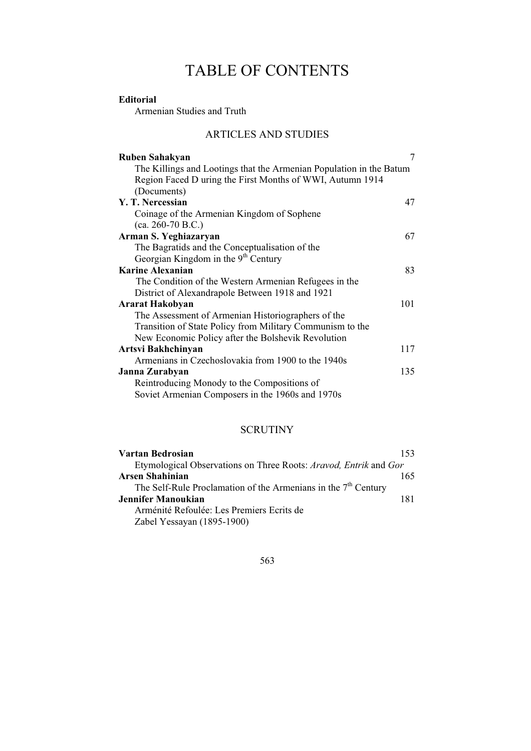# TABLE OF CONTENTS

# Editorial

Armenian Studies and Truth

# ARTICLES AND STUDIES

| Ruben Sahakyan                                                      | 7   |
|---------------------------------------------------------------------|-----|
| The Killings and Lootings that the Armenian Population in the Batum |     |
| Region Faced D uring the First Months of WWI, Autumn 1914           |     |
| (Documents)                                                         |     |
| Y. T. Nercessian                                                    | 47  |
| Coinage of the Armenian Kingdom of Sophene                          |     |
| $(ca. 260-70 B.C.)$                                                 |     |
| Arman S. Yeghiazaryan                                               | 67  |
| The Bagratids and the Conceptualisation of the                      |     |
| Georgian Kingdom in the 9 <sup>th</sup> Century                     |     |
| <b>Karine Alexanian</b>                                             | 83  |
| The Condition of the Western Armenian Refugees in the               |     |
| District of Alexandrapole Between 1918 and 1921                     |     |
| <b>Ararat Hakobyan</b>                                              | 101 |
| The Assessment of Armenian Historiographers of the                  |     |
| Transition of State Policy from Military Communism to the           |     |
| New Economic Policy after the Bolshevik Revolution                  |     |
| Artsvi Bakhchinyan                                                  | 117 |
| Armenians in Czechoslovakia from 1900 to the 1940s                  |     |
| Janna Zurabyan                                                      | 135 |
| Reintroducing Monody to the Compositions of                         |     |
| Soviet Armenian Composers in the 1960s and 1970s                    |     |
|                                                                     |     |

## **SCRUTINY**

| Vartan Bedrosian                                                 | 153 |
|------------------------------------------------------------------|-----|
| Etymological Observations on Three Roots: Aravod, Entrik and Gor |     |
| Arsen Shahinian                                                  | 165 |
| The Self-Rule Proclamation of the Armenians in the $7th$ Century |     |
| Jennifer Manoukian                                               | 181 |
| Arménité Refoulée: Les Premiers Ecrits de                        |     |
| Zabel Yessayan (1895-1900)                                       |     |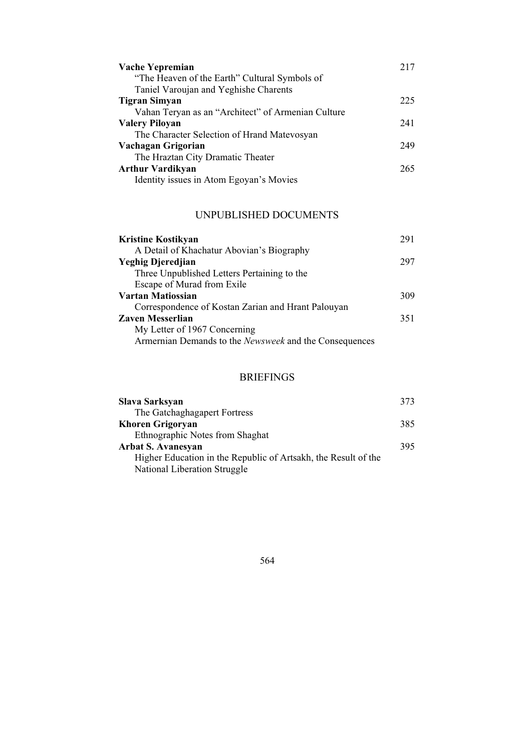| Vache Yepremian                                    | 217 |
|----------------------------------------------------|-----|
| "The Heaven of the Earth" Cultural Symbols of      |     |
| Taniel Varoujan and Yeghishe Charents              |     |
| Tigran Simyan                                      | 225 |
| Vahan Teryan as an "Architect" of Armenian Culture |     |
| <b>Valery Piloyan</b>                              | 241 |
| The Character Selection of Hrand Matevosyan        |     |
| Vachagan Grigorian                                 | 249 |
| The Hraztan City Dramatic Theater                  |     |
| <b>Arthur Vardikyan</b>                            | 265 |
| Identity issues in Atom Egoyan's Movies            |     |

# UNPUBLISHED DOCUMENTS

| Kristine Kostikyan                                     | 291 |
|--------------------------------------------------------|-----|
| A Detail of Khachatur Abovian's Biography              |     |
| Yeghig Djeredjian                                      | 297 |
| Three Unpublished Letters Pertaining to the            |     |
| Escape of Murad from Exile                             |     |
| Vartan Matiossian                                      | 309 |
| Correspondence of Kostan Zarian and Hrant Palouyan     |     |
| Zaven Messerlian                                       | 351 |
| My Letter of 1967 Concerning                           |     |
| Armernian Demands to the Newsweek and the Consequences |     |

# BRIEFINGS

| Slava Sarksyan                                                 | 373 |
|----------------------------------------------------------------|-----|
| The Gatchaghagapert Fortress                                   |     |
| <b>Khoren Grigoryan</b>                                        | 385 |
| Ethnographic Notes from Shaghat                                |     |
| Arbat S. Avanesyan                                             | 395 |
| Higher Education in the Republic of Artsakh, the Result of the |     |
| National Liberation Struggle                                   |     |